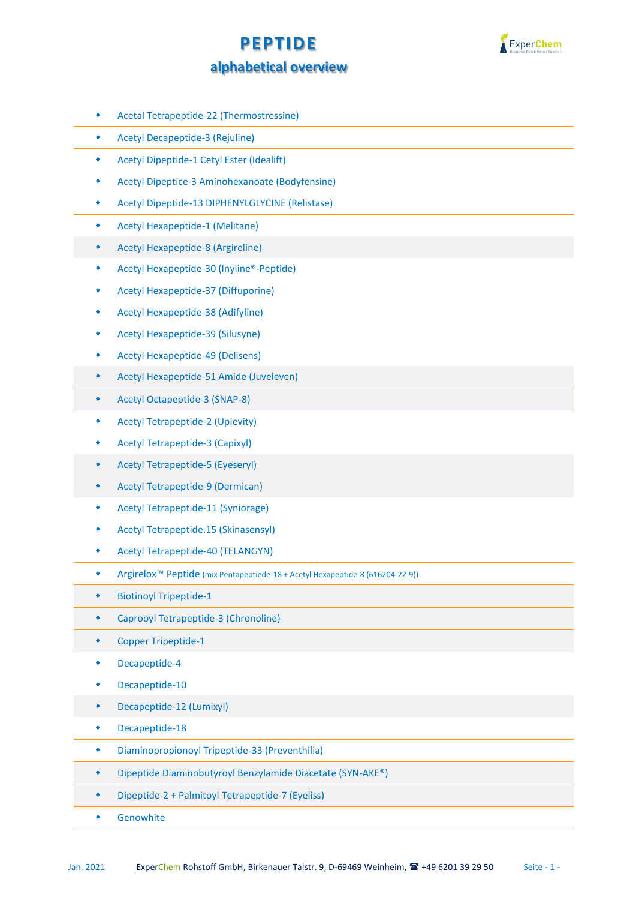



- Acetal Tetrapeptide-22 (Thermostressine)
- Acetyl Decapeptide-3 (Rejuline)
- Acetyl Dipeptide-1 Cetyl Ester (Idealift)
- Acetyl Dipeptice-3 Aminohexanoate (Bodyfensine)
- Acetyl Dipeptide-13 DIPHENYLGLYCINE (Relistase)
- Acetyl Hexapeptide-1 (Melitane)
- Acetyl Hexapeptide-8 (Argireline)
- Acetyl Hexapeptide-30 (Inyline®-Peptide)
- Acetyl Hexapeptide-37 (Diffuporine)
- Acetyl Hexapeptide-38 (Adifyline)
- Acetyl Hexapeptide-39 (Silusyne)
- Acetyl Hexapeptide-49 (Delisens)
- Acetyl Hexapeptide-51 Amide (Juveleven)
- Acetyl Octapeptide-3 (SNAP-8)
- Acetyl Tetrapeptide-2 (Uplevity)
- Acetyl Tetrapeptide-3 (Capixyl)
- Acetyl Tetrapeptide-5 (Eyeseryl)
- Acetyl Tetrapeptide-9 (Dermican)
- Acetyl Tetrapeptide-11 (Syniorage)
- Acetyl Tetrapeptide.15 (Skinasensyl)
- Acetyl Tetrapeptide-40 (TELANGYN)
- Argirelox™ Peptide (mix Pentapeptiede-18 + Acetyl Hexapeptide-8 (616204-22-9))
- Biotinoyl Tripeptide-1
- Caprooyl Tetrapeptide-3 (Chronoline)
- Copper Tripeptide-1
- Decapeptide-4
- Decapeptide-10
- Decapeptide-12 (Lumixyl)
- Decapeptide-18
- Diaminopropionoyl Tripeptide-33 (Preventhilia)
- Dipeptide Diaminobutyroyl Benzylamide Diacetate (SYN-AKE®)
- Dipeptide-2 + Palmitoyl Tetrapeptide-7 (Eyeliss)
- Genowhite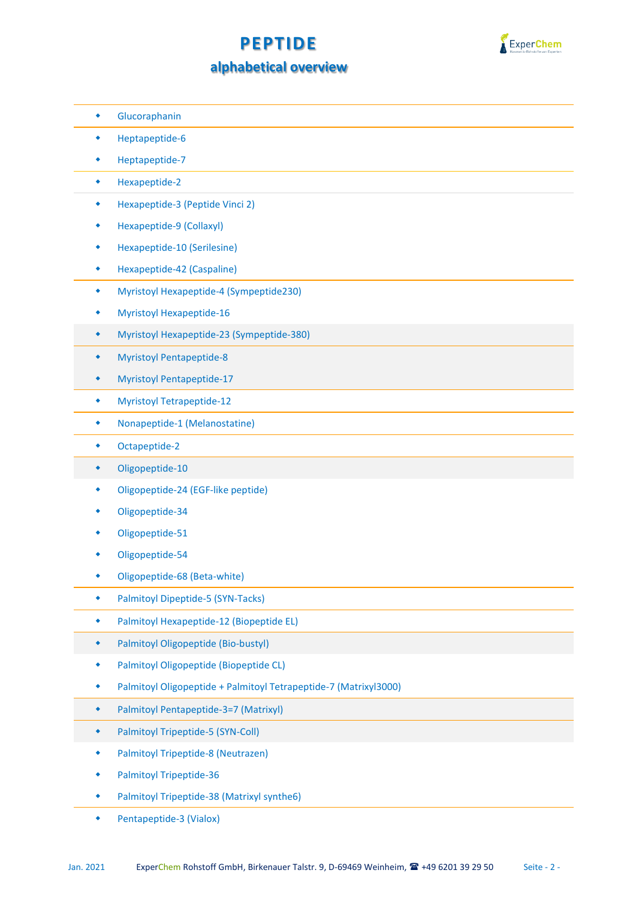## **PEPTIDE**



## **alphabetical overview**

- Glucoraphanin
- Heptapeptide-6
- Heptapeptide-7
- Hexapeptide-2
- Hexapeptide-3 (Peptide Vinci 2)
- Hexapeptide-9 (Collaxyl)
- Hexapeptide-10 (Serilesine)
- Hexapeptide-42 (Caspaline)
- Myristoyl Hexapeptide-4 (Sympeptide230)
- Myristoyl Hexapeptide-16
- Myristoyl Hexapeptide-23 (Sympeptide-380)
- Myristoyl Pentapeptide-8
- Myristoyl Pentapeptide-17
- Myristoyl Tetrapeptide-12
- Nonapeptide-1 (Melanostatine)
- Octapeptide-2
- Oligopeptide-10
- Oligopeptide-24 (EGF-like peptide)
- Oligopeptide-34
- Oligopeptide-51
- Oligopeptide-54
- Oligopeptide-68 (Beta-white)
- Palmitoyl Dipeptide-5 (SYN-Tacks)
- Palmitoyl Hexapeptide-12 (Biopeptide EL)
- Palmitoyl Oligopeptide (Bio-bustyl)
- Palmitoyl Oligopeptide (Biopeptide CL)
- Palmitoyl Oligopeptide + Palmitoyl Tetrapeptide-7 (Matrixyl3000)
- Palmitoyl Pentapeptide-3=7 (Matrixyl)
- Palmitoyl Tripeptide-5 (SYN-Coll)
- Palmitoyl Tripeptide-8 (Neutrazen)
- Palmitoyl Tripeptide-36
- Palmitoyl Tripeptide-38 (Matrixyl synthe6)
- Pentapeptide-3 (Vialox)